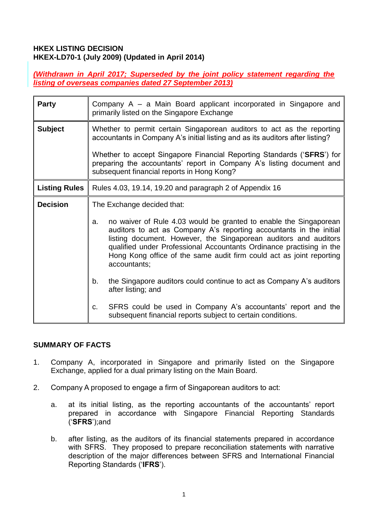#### **HKEX LISTING DECISION HKEX-LD70-1 (July 2009) (Updated in April 2014)**

#### *(Withdrawn in April 2017; Superseded by the joint policy statement regarding the listing of overseas companies dated 27 September 2013)*

| <b>Party</b>         | Company A – a Main Board applicant incorporated in Singapore and<br>primarily listed on the Singapore Exchange                                                                                                                                                                                                                                                                     |
|----------------------|------------------------------------------------------------------------------------------------------------------------------------------------------------------------------------------------------------------------------------------------------------------------------------------------------------------------------------------------------------------------------------|
| <b>Subject</b>       | Whether to permit certain Singaporean auditors to act as the reporting<br>accountants in Company A's initial listing and as its auditors after listing?                                                                                                                                                                                                                            |
|                      | Whether to accept Singapore Financial Reporting Standards ('SFRS') for<br>preparing the accountants' report in Company A's listing document and<br>subsequent financial reports in Hong Kong?                                                                                                                                                                                      |
| <b>Listing Rules</b> | Rules 4.03, 19.14, 19.20 and paragraph 2 of Appendix 16                                                                                                                                                                                                                                                                                                                            |
| <b>Decision</b>      | The Exchange decided that:                                                                                                                                                                                                                                                                                                                                                         |
|                      | no waiver of Rule 4.03 would be granted to enable the Singaporean<br>a.<br>auditors to act as Company A's reporting accountants in the initial<br>listing document. However, the Singaporean auditors and auditors<br>qualified under Professional Accountants Ordinance practising in the<br>Hong Kong office of the same audit firm could act as joint reporting<br>accountants; |
|                      | the Singapore auditors could continue to act as Company A's auditors<br>b.<br>after listing; and                                                                                                                                                                                                                                                                                   |
|                      | SFRS could be used in Company A's accountants' report and the<br>C.<br>subsequent financial reports subject to certain conditions.                                                                                                                                                                                                                                                 |

#### **SUMMARY OF FACTS**

- 1. Company A, incorporated in Singapore and primarily listed on the Singapore Exchange, applied for a dual primary listing on the Main Board.
- 2. Company A proposed to engage a firm of Singaporean auditors to act:
	- a. at its initial listing, as the reporting accountants of the accountants' report prepared in accordance with Singapore Financial Reporting Standards ('**SFRS**');and
	- b. after listing, as the auditors of its financial statements prepared in accordance with SFRS. They proposed to prepare reconciliation statements with narrative description of the major differences between SFRS and International Financial Reporting Standards ('**IFRS**').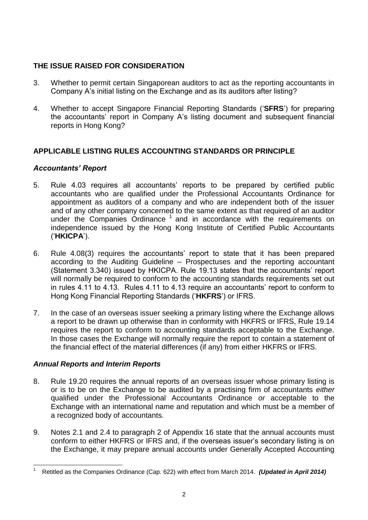# **THE ISSUE RAISED FOR CONSIDERATION**

- 3. Whether to permit certain Singaporean auditors to act as the reporting accountants in Company A's initial listing on the Exchange and as its auditors after listing?
- 4. Whether to accept Singapore Financial Reporting Standards ('**SFRS**') for preparing the accountants' report in Company A's listing document and subsequent financial reports in Hong Kong?

# **APPLICABLE LISTING RULES ACCOUNTING STANDARDS OR PRINCIPLE**

# *Accountants' Report*

- 5. Rule 4.03 requires all accountants' reports to be prepared by certified public accountants who are qualified under the Professional Accountants Ordinance for appointment as auditors of a company and who are independent both of the issuer and of any other company concerned to the same extent as that required of an auditor under the Companies Ordinance  $1$  and in accordance with the requirements on independence issued by the Hong Kong Institute of Certified Public Accountants ('**HKICPA**').
- 6. Rule 4.08(3) requires the accountants' report to state that it has been prepared according to the Auditing Guideline – Prospectuses and the reporting accountant (Statement 3.340) issued by HKICPA. Rule 19.13 states that the accountants' report will normally be required to conform to the accounting standards requirements set out in rules 4.11 to 4.13. Rules 4.11 to 4.13 require an accountants' report to conform to Hong Kong Financial Reporting Standards ('**HKFRS**') or IFRS.
- 7. In the case of an overseas issuer seeking a primary listing where the Exchange allows a report to be drawn up otherwise than in conformity with HKFRS or IFRS, Rule 19.14 requires the report to conform to accounting standards acceptable to the Exchange. In those cases the Exchange will normally require the report to contain a statement of the financial effect of the material differences (if any) from either HKFRS or IFRS.

# *Annual Reports and Interim Reports*

- 8. Rule 19.20 requires the annual reports of an overseas issuer whose primary listing is or is to be on the Exchange to be audited by a practising firm of accountants *either*  qualified under the Professional Accountants Ordinance *or* acceptable to the Exchange with an international name and reputation and which must be a member of a recognized body of accountants.
- 9. Notes 2.1 and 2.4 to paragraph 2 of Appendix 16 state that the annual accounts must conform to either HKFRS or IFRS and, if the overseas issuer's secondary listing is on the Exchange, it may prepare annual accounts under Generally Accepted Accounting

<sup>1</sup> <sup>1</sup> Retitled as the Companies Ordinance (Cap. 622) with effect from March 2014. *(Updated in April 2014)*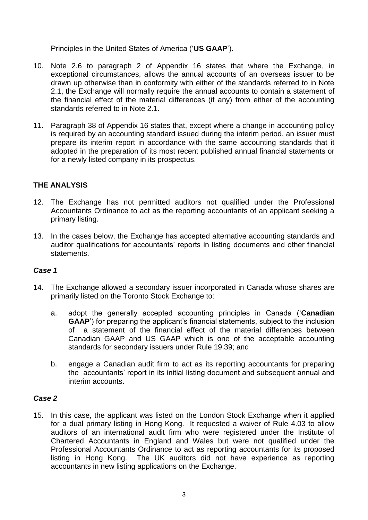Principles in the United States of America ('**US GAAP**').

- 10. Note 2.6 to paragraph 2 of Appendix 16 states that where the Exchange, in exceptional circumstances, allows the annual accounts of an overseas issuer to be drawn up otherwise than in conformity with either of the standards referred to in Note 2.1, the Exchange will normally require the annual accounts to contain a statement of the financial effect of the material differences (if any) from either of the accounting standards referred to in Note 2.1.
- 11. Paragraph 38 of Appendix 16 states that, except where a change in accounting policy is required by an accounting standard issued during the interim period, an issuer must prepare its interim report in accordance with the same accounting standards that it adopted in the preparation of its most recent published annual financial statements or for a newly listed company in its prospectus.

# **THE ANALYSIS**

- 12. The Exchange has not permitted auditors not qualified under the Professional Accountants Ordinance to act as the reporting accountants of an applicant seeking a primary listing.
- 13. In the cases below, the Exchange has accepted alternative accounting standards and auditor qualifications for accountants' reports in listing documents and other financial statements.

# *Case 1*

- 14. The Exchange allowed a secondary issuer incorporated in Canada whose shares are primarily listed on the Toronto Stock Exchange to:
	- a. adopt the generally accepted accounting principles in Canada ('**Canadian GAAP**') for preparing the applicant's financial statements, subject to the inclusion of a statement of the financial effect of the material differences between Canadian GAAP and US GAAP which is one of the acceptable accounting standards for secondary issuers under Rule 19.39; and
	- b. engage a Canadian audit firm to act as its reporting accountants for preparing the accountants' report in its initial listing document and subsequent annual and interim accounts.

#### *Case 2*

15. In this case, the applicant was listed on the London Stock Exchange when it applied for a dual primary listing in Hong Kong. It requested a waiver of Rule 4.03 to allow auditors of an international audit firm who were registered under the Institute of Chartered Accountants in England and Wales but were not qualified under the Professional Accountants Ordinance to act as reporting accountants for its proposed listing in Hong Kong. The UK auditors did not have experience as reporting accountants in new listing applications on the Exchange.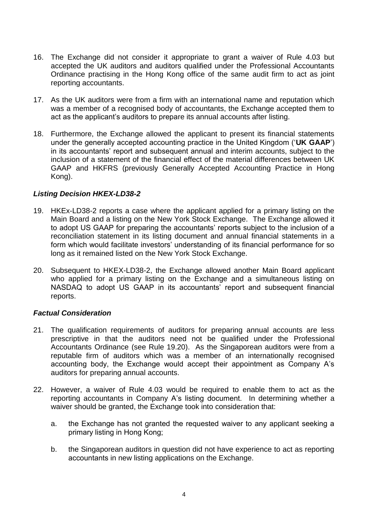- 16. The Exchange did not consider it appropriate to grant a waiver of Rule 4.03 but accepted the UK auditors and auditors qualified under the Professional Accountants Ordinance practising in the Hong Kong office of the same audit firm to act as joint reporting accountants.
- 17. As the UK auditors were from a firm with an international name and reputation which was a member of a recognised body of accountants, the Exchange accepted them to act as the applicant's auditors to prepare its annual accounts after listing.
- 18. Furthermore, the Exchange allowed the applicant to present its financial statements under the generally accepted accounting practice in the United Kingdom ('**UK GAAP**') in its accountants' report and subsequent annual and interim accounts, subject to the inclusion of a statement of the financial effect of the material differences between UK GAAP and HKFRS (previously Generally Accepted Accounting Practice in Hong Kong).

#### *Listing Decision HKEX-LD38-2*

- 19. HKEx-LD38-2 reports a case where the applicant applied for a primary listing on the Main Board and a listing on the New York Stock Exchange. The Exchange allowed it to adopt US GAAP for preparing the accountants' reports subject to the inclusion of a reconciliation statement in its listing document and annual financial statements in a form which would facilitate investors' understanding of its financial performance for so long as it remained listed on the New York Stock Exchange.
- 20. Subsequent to HKEX-LD38-2, the Exchange allowed another Main Board applicant who applied for a primary listing on the Exchange and a simultaneous listing on NASDAQ to adopt US GAAP in its accountants' report and subsequent financial reports.

#### *Factual Consideration*

- 21. The qualification requirements of auditors for preparing annual accounts are less prescriptive in that the auditors need not be qualified under the Professional Accountants Ordinance (see Rule 19.20). As the Singaporean auditors were from a reputable firm of auditors which was a member of an internationally recognised accounting body, the Exchange would accept their appointment as Company A's auditors for preparing annual accounts.
- 22. However, a waiver of Rule 4.03 would be required to enable them to act as the reporting accountants in Company A's listing document. In determining whether a waiver should be granted, the Exchange took into consideration that:
	- a. the Exchange has not granted the requested waiver to any applicant seeking a primary listing in Hong Kong;
	- b. the Singaporean auditors in question did not have experience to act as reporting accountants in new listing applications on the Exchange.